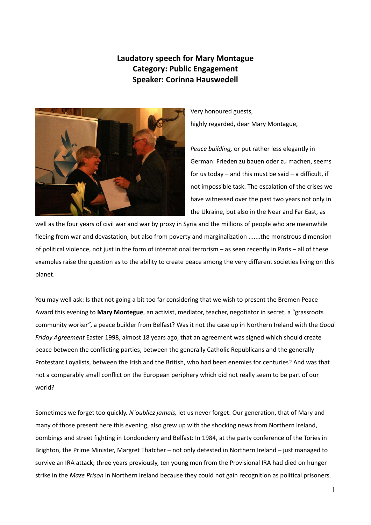## **Laudatory speech for Mary Montague Category: Public Engagement Speaker: Corinna Hauswedell**



Very honoured guests, highly regarded, dear Mary Montague,

*Peace building,* or put rather less elegantly in German: Frieden zu bauen oder zu machen, seems for us today – and this must be said – a difficult, if not impossible task. The escalation of the crises we have witnessed over the past two years not only in the Ukraine, but also in the Near and Far East, as

well as the four years of civil war and war by proxy in Syria and the millions of people who are meanwhile fleeing from war and devastation, but also from poverty and marginalization .......the monstrous dimension of political violence, not just in the form of international terrorism – as seen recently in Paris – all of these examples raise the question as to the ability to create peace among the very different societies living on this planet.

You may well ask: Is that not going a bit too far considering that we wish to present the Bremen Peace Award this evening to **Mary Montegue**, an activist, mediator, teacher, negotiator in secret, a "grassroots community worker", a peace builder from Belfast? Was it not the case up in Northern Ireland with the *Good Friday Agreement* Easter 1998, almost 18 years ago, that an agreement was signed which should create peace between the conflicting parties, between the generally Catholic Republicans and the generally Protestant Loyalists, between the Irish and the British, who had been enemies for centuries? And was that not a comparably small conflict on the European periphery which did not really seem to be part of our world?

Sometimes we forget too quickly. *N´oubliez jamais,* let us never forget: Our generation, that of Mary and many of those present here this evening, also grew up with the shocking news from Northern Ireland, bombings and street fighting in Londonderry and Belfast: In 1984, at the party conference of the Tories in Brighton, the Prime Minister, Margret Thatcher – not only detested in Northern Ireland – just managed to survive an IRA attack; three years previously, ten young men from the Provisional IRA had died on hunger strike in the *Maze Prison* in Northern Ireland because they could not gain recognition as political prisoners.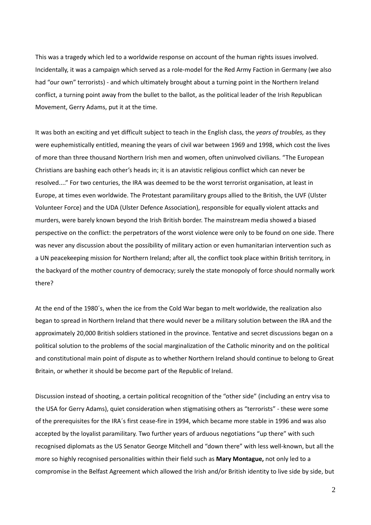This was a tragedy which led to a worldwide response on account of the human rights issues involved. Incidentally, it was a campaign which served as a role‐model for the Red Army Faction in Germany (we also had "our own" terrorists) - and which ultimately brought about a turning point in the Northern Ireland conflict, a turning point away from the bullet to the ballot, as the political leader of the Irish Republican Movement, Gerry Adams, put it at the time.

It was both an exciting and yet difficult subject to teach in the English class, the *years of troubles,* as they were euphemistically entitled, meaning the years of civil war between 1969 and 1998, which cost the lives of more than three thousand Northern Irish men and women, often uninvolved civilians. "The European Christians are bashing each other's heads in; it is an atavistic religious conflict which can never be resolved...." For two centuries, the IRA was deemed to be the worst terrorist organisation, at least in Europe, at times even worldwide. The Protestant paramilitary groups allied to the British, the UVF (Ulster Volunteer Force) and the UDA (Ulster Defence Association), responsible for equally violent attacks and murders, were barely known beyond the Irish British border. The mainstream media showed a biased perspective on the conflict: the perpetrators of the worst violence were only to be found on one side. There was never any discussion about the possibility of military action or even humanitarian intervention such as a UN peacekeeping mission for Northern Ireland; after all, the conflict took place within British territory, in the backyard of the mother country of democracy; surely the state monopoly of force should normally work there?

At the end of the 1980´s, when the ice from the Cold War began to melt worldwide, the realization also began to spread in Northern Ireland that there would never be a military solution between the IRA and the approximately 20,000 British soldiers stationed in the province. Tentative and secret discussions began on a political solution to the problems of the social marginalization of the Catholic minority and on the political and constitutional main point of dispute as to whether Northern Ireland should continue to belong to Great Britain, or whether it should be become part of the Republic of Ireland.

Discussion instead of shooting, a certain political recognition of the "other side" (including an entry visa to the USA for Gerry Adams), quiet consideration when stigmatising others as "terrorists" ‐ these were some of the prerequisites for the IRA´s first cease‐fire in 1994, which became more stable in 1996 and was also accepted by the loyalist paramilitary. Two further years of arduous negotiations "up there" with such recognised diplomats as the US Senator George Mitchell and "down there" with less well-known, but all the more so highly recognised personalities within their field such as **Mary Montague,** not only led to a compromise in the Belfast Agreement which allowed the Irish and/or British identity to live side by side, but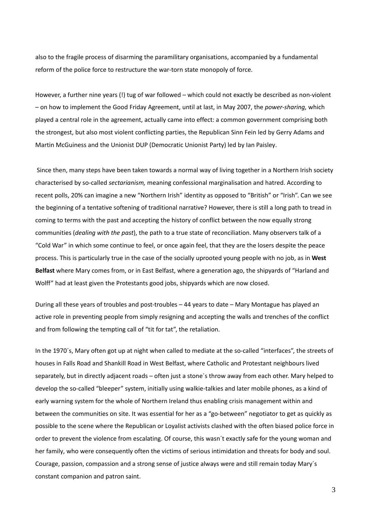also to the fragile process of disarming the paramilitary organisations, accompanied by a fundamental reform of the police force to restructure the war-torn state monopoly of force.

However, a further nine years (!) tug of war followed – which could not exactly be described as non‐violent – on how to implement the Good Friday Agreement, until at last, in May 2007, the *power‐sharing,* which played a central role in the agreement, actually came into effect: a common government comprising both the strongest, but also most violent conflicting parties, the Republican Sinn Fein led by Gerry Adams and Martin McGuiness and the Unionist DUP (Democratic Unionist Party) led by Ian Paisley.

Since then, many steps have been taken towards a normal way of living together in a Northern Irish society characterised by so‐called *sectarianism,* meaning confessional marginalisation and hatred. According to recent polls, 20% can imagine a new "Northern Irish" identity as opposed to "British" or "Irish". Can we see the beginning of a tentative softening of traditional narrative? However, there is still a long path to tread in coming to terms with the past and accepting the history of conflict between the now equally strong communities (*dealing with the past*), the path to a true state of reconciliation. Many observers talk of a "Cold War" in which some continue to feel, or once again feel, that they are the losers despite the peace process. This is particularly true in the case of the socially uprooted young people with no job, as in **West Belfast** where Mary comes from, or in East Belfast, where a generation ago, the shipyards of "Harland and Wolff" had at least given the Protestants good jobs, shipyards which are now closed.

During all these years of troubles and post-troubles – 44 years to date – Mary Montague has played an active role in preventing people from simply resigning and accepting the walls and trenches of the conflict and from following the tempting call of "tit for tat", the retaliation.

In the 1970's, Mary often got up at night when called to mediate at the so-called "interfaces", the streets of houses in Falls Road and Shankill Road in West Belfast, where Catholic and Protestant neighbours lived separately, but in directly adjacent roads – often just a stone´s throw away from each other. Mary helped to develop the so‐called "bleeper" system, initially using walkie‐talkies and later mobile phones, as a kind of early warning system for the whole of Northern Ireland thus enabling crisis management within and between the communities on site. It was essential for her as a "go-between" negotiator to get as quickly as possible to the scene where the Republican or Loyalist activists clashed with the often biased police force in order to prevent the violence from escalating. Of course, this wasn´t exactly safe for the young woman and her family, who were consequently often the victims of serious intimidation and threats for body and soul. Courage, passion, compassion and a strong sense of justice always were and still remain today Mary´s constant companion and patron saint.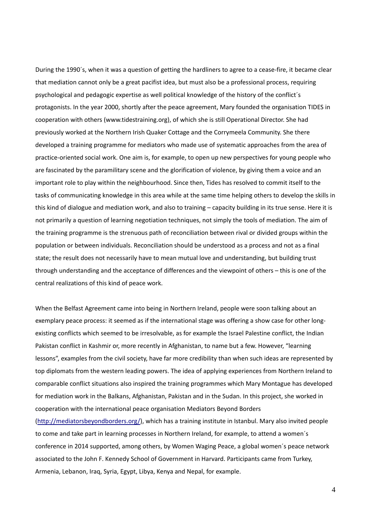During the 1990's, when it was a question of getting the hardliners to agree to a cease-fire, it became clear that mediation cannot only be a great pacifist idea, but must also be a professional process, requiring psychological and pedagogic expertise as well political knowledge of the history of the conflict´s protagonists. In the year 2000, shortly after the peace agreement, Mary founded the organisation TIDES in cooperation with others (www.tidestraining.org), of which she is still Operational Director. She had previously worked at the Northern Irish Quaker Cottage and the Corrymeela Community. She there developed a training programme for mediators who made use of systematic approaches from the area of practice‐oriented social work. One aim is, for example, to open up new perspectives for young people who are fascinated by the paramilitary scene and the glorification of violence, by giving them a voice and an important role to play within the neighbourhood. Since then, Tides has resolved to commit itself to the tasks of communicating knowledge in this area while at the same time helping others to develop the skills in this kind of dialogue and mediation work, and also to training – capacity building in its true sense. Here it is not primarily a question of learning negotiation techniques, not simply the tools of mediation. The aim of the training programme is the strenuous path of reconciliation between rival or divided groups within the population or between individuals. Reconciliation should be understood as a process and not as a final state; the result does not necessarily have to mean mutual love and understanding, but building trust through understanding and the acceptance of differences and the viewpoint of others – this is one of the central realizations of this kind of peace work.

When the Belfast Agreement came into being in Northern Ireland, people were soon talking about an exemplary peace process: it seemed as if the international stage was offering a show case for other longexisting conflicts which seemed to be irresolvable, as for example the Israel Palestine conflict, the Indian Pakistan conflict in Kashmir or, more recently in Afghanistan, to name but a few. However, "learning lessons", examples from the civil society, have far more credibility than when such ideas are represented by top diplomats from the western leading powers. The idea of applying experiences from Northern Ireland to comparable conflict situations also inspired the training programmes which Mary Montague has developed for mediation work in the Balkans, Afghanistan, Pakistan and in the Sudan. In this project, she worked in cooperation with the international peace organisation Mediators Beyond Borders

(http://mediatorsbeyondborders.org/), which has a training institute in Istanbul. Mary also invited people to come and take part in learning processes in Northern Ireland, for example, to attend a women´s conference in 2014 supported, among others, by Women Waging Peace, a global women´s peace network associated to the John F. Kennedy School of Government in Harvard. Participants came from Turkey, Armenia, Lebanon, Iraq, Syria, Egypt, Libya, Kenya and Nepal, for example.